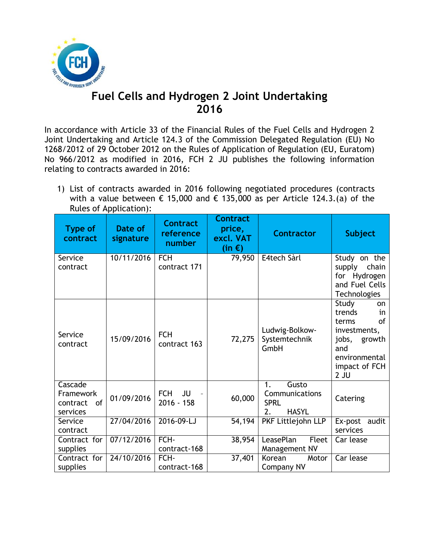

## **Fuel Cells and Hydrogen 2 Joint Undertaking 2016**

In accordance with Article 33 of the Financial Rules of the Fuel Cells and Hydrogen 2 Joint Undertaking and Article 124.3 of the Commission Delegated Regulation (EU) No 1268/2012 of 29 October 2012 on the Rules of Application of Regulation (EU, Euratom) No 966/2012 as modified in 2016, FCH 2 JU publishes the following information relating to contracts awarded in 2016:

1) List of contracts awarded in 2016 following negotiated procedures (contracts with a value between  $\epsilon$  15,000 and  $\epsilon$  135,000 as per Article 124.3.(a) of the Rules of Application):

| <b>Type of</b><br>contract                         | Date of<br>signature | <b>Contract</b><br>reference<br>number | <b>Contract</b><br>price,<br>excl. VAT<br>(in $\epsilon$ ) | <b>Contractor</b>                                                  | <b>Subject</b>                                                                                                                          |
|----------------------------------------------------|----------------------|----------------------------------------|------------------------------------------------------------|--------------------------------------------------------------------|-----------------------------------------------------------------------------------------------------------------------------------------|
| Service<br>contract                                | 10/11/2016           | <b>FCH</b><br>contract 171             | 79,950                                                     | E4tech Sàrl                                                        | Study on the<br>chain<br>supply<br>for Hydrogen<br>and Fuel Cells<br><b>Technologies</b>                                                |
| Service<br>contract                                | 15/09/2016           | <b>FCH</b><br>contract 163             | 72,275                                                     | Ludwig-Bolkow-<br>Systemtechnik<br>GmbH                            | Study<br><b>on</b><br>trends<br>in<br>of<br>terms<br>investments,<br>jobs,<br>growth<br>and<br>environmental<br>impact of FCH<br>$2$ JU |
| Cascade<br>Framework<br>of<br>contract<br>services | 01/09/2016           | <b>FCH</b><br>JU<br>$2016 - 158$       | 60,000                                                     | Gusto<br>1.<br>Communications<br><b>SPRL</b><br>2.<br><b>HASYL</b> | Catering                                                                                                                                |
| Service<br>contract                                | 27/04/2016           | 2016-09-LJ                             | 54,194                                                     | PKF Littlejohn LLP                                                 | Ex-post<br>audit<br>services                                                                                                            |
| Contract for<br>supplies                           | 07/12/2016           | FCH-<br>contract-168                   | 38,954                                                     | LeasePlan<br>Fleet<br>Management NV                                | Car lease                                                                                                                               |
| Contract for<br>supplies                           | 24/10/2016           | FCH-<br>contract-168                   | 37,401                                                     | Korean<br>Motor<br><b>Company NV</b>                               | Car lease                                                                                                                               |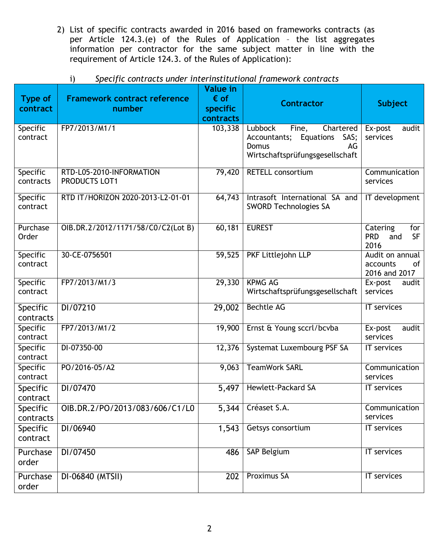2) List of specific contracts awarded in 2016 based on frameworks contracts (as per Article 124.3.(e) of the Rules of Application – the list aggregates information per contractor for the same subject matter in line with the requirement of Article 124.3. of the Rules of Application):

| <b>Type of</b><br>contract | <b>Framework contract reference</b><br>number    | <b>Value in</b><br>$\epsilon$ of<br>specific<br>contracts | <b>Contractor</b>                                                                                                    | <b>Subject</b>                                            |
|----------------------------|--------------------------------------------------|-----------------------------------------------------------|----------------------------------------------------------------------------------------------------------------------|-----------------------------------------------------------|
| Specific<br>contract       | FP7/2013/M1/1                                    | 103,338                                                   | Lubbock<br>Fine,<br>Chartered<br>Equations<br>SAS;<br>Accountants;<br>Domus<br>AG<br>Wirtschaftsprüfungsgesellschaft | Ex-post<br>audit<br>services                              |
| Specific<br>contracts      | RTD-L05-2010-INFORMATION<br><b>PRODUCTS LOT1</b> | 79,420                                                    | <b>RETELL consortium</b>                                                                                             | Communication<br>services                                 |
| Specific<br>contract       | RTD IT/HORIZON 2020-2013-L2-01-01                | 64,743                                                    | Intrasoft International SA and<br><b>SWORD Technologies SA</b>                                                       | IT development                                            |
| Purchase<br>Order          | OIB.DR.2/2012/1171/58/C0/C2(Lot B)               | 60,181                                                    | <b>EUREST</b>                                                                                                        | Catering<br>for<br><b>PRD</b><br><b>SF</b><br>and<br>2016 |
| Specific<br>contract       | 30-CE-0756501                                    | 59,525                                                    | PKF Littlejohn LLP                                                                                                   | Audit on annual<br>accounts<br>οf<br>2016 and 2017        |
| Specific<br>contract       | FP7/2013/M1/3                                    | 29,330                                                    | <b>KPMG AG</b><br>Wirtschaftsprüfungsgesellschaft                                                                    | Ex-post<br>audit<br>services                              |
| Specific<br>contracts      | DI/07210                                         | $\overline{29,002}$                                       | <b>Bechtle AG</b>                                                                                                    | IT services                                               |
| Specific<br>contract       | FP7/2013/M1/2                                    | 19,900                                                    | Ernst & Young sccrl/bcvba                                                                                            | Ex-post<br>audit<br>services                              |
| Specific<br>contract       | DI-07350-00                                      | 12,376                                                    | Systemat Luxembourg PSF SA                                                                                           | <b>IT</b> services                                        |
| Specific<br>contract       | PO/2016-05/A2                                    | 9,063                                                     | <b>TeamWork SARL</b>                                                                                                 | Communication<br>services                                 |
| Specific<br>contract       | DI/07470                                         | 5,497                                                     | <b>Hewlett-Packard SA</b>                                                                                            | IT services                                               |
| Specific<br>contracts      | OIB.DR.2/PO/2013/083/606/C1/L0                   | 5,344                                                     | Créaset S.A.                                                                                                         | Communication<br>services                                 |
| Specific<br>contract       | DI/06940                                         | 1,543                                                     | Getsys consortium                                                                                                    | <b>IT</b> services                                        |
| Purchase<br>order          | DI/07450                                         | 486                                                       | SAP Belgium                                                                                                          | IT services                                               |
| Purchase<br>order          | DI-06840 (MTSII)                                 | 202                                                       | <b>Proximus SA</b>                                                                                                   | <b>IT</b> services                                        |

## i) *Specific contracts under interinstitutional framework contracts*